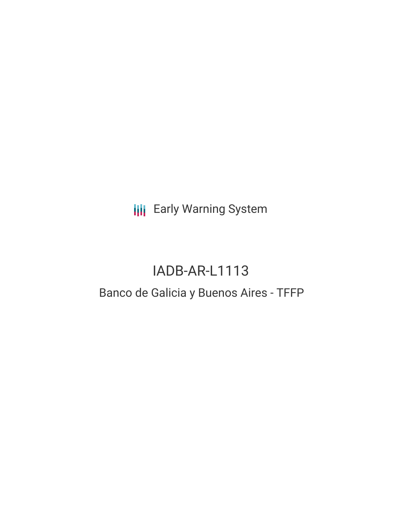**III** Early Warning System

# IADB-AR-L1113

## Banco de Galicia y Buenos Aires - TFFP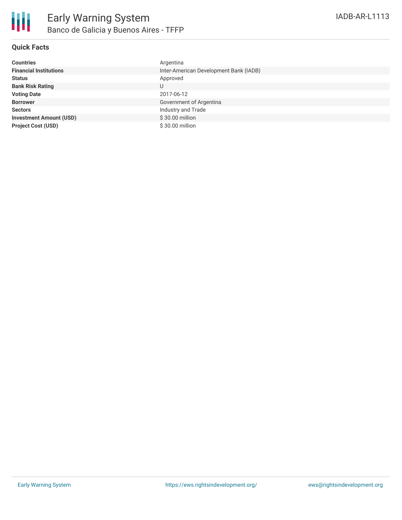### **Quick Facts**

| <b>Countries</b>               | Argentina                              |
|--------------------------------|----------------------------------------|
| <b>Financial Institutions</b>  | Inter-American Development Bank (IADB) |
| <b>Status</b>                  | Approved                               |
| <b>Bank Risk Rating</b>        | U                                      |
| <b>Voting Date</b>             | 2017-06-12                             |
| <b>Borrower</b>                | Government of Argentina                |
| <b>Sectors</b>                 | Industry and Trade                     |
| <b>Investment Amount (USD)</b> | \$30.00 million                        |
| <b>Project Cost (USD)</b>      | \$30.00 million                        |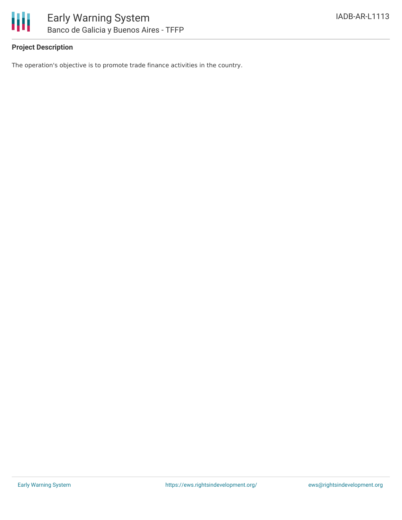

The operation's objective is to promote trade finance activities in the country.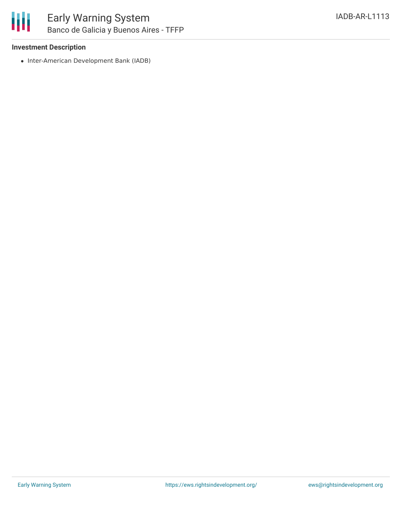

### **Investment Description**

• Inter-American Development Bank (IADB)